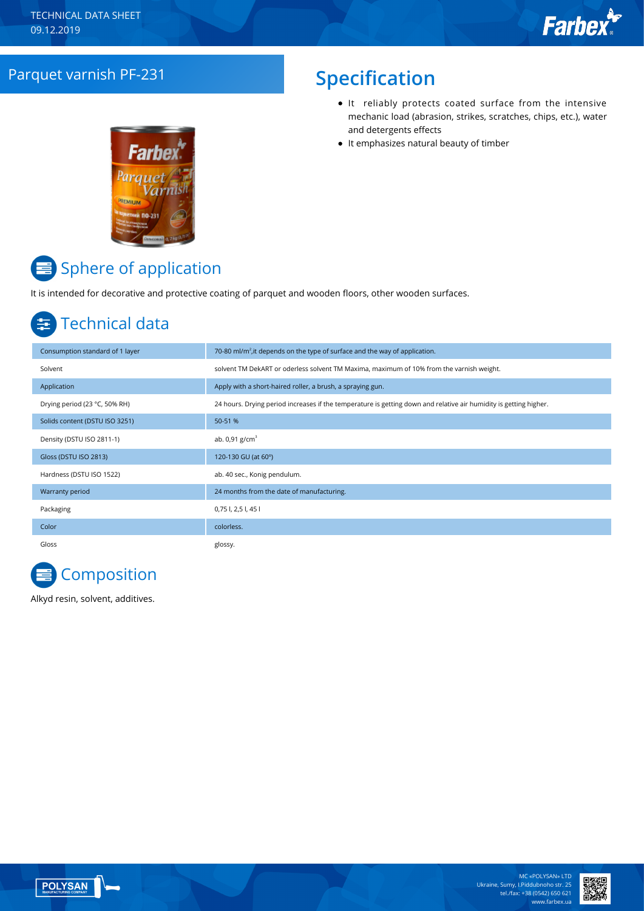## Parquet varnish PF-231 **Specification**

- It reliably protects coated surface from the intensive mechanic load (abrasion, strikes, scratches, chips, etc.), water and detergents effects
- It emphasizes natural beauty of timber



# Sphere of application

It is intended for decorative and protective coating of parquet and wooden floors, other wooden surfaces.

## Technical data

| Consumption standard of 1 layer | 70-80 ml/m <sup>2</sup> , it depends on the type of surface and the way of application.                           |
|---------------------------------|-------------------------------------------------------------------------------------------------------------------|
| Solvent                         | solvent TM DekART or oderless solvent TM Maxima, maximum of 10% from the varnish weight.                          |
| Application                     | Apply with a short-haired roller, a brush, a spraying gun.                                                        |
| Drying period (23 °C, 50% RH)   | 24 hours. Drying period increases if the temperature is getting down and relative air humidity is getting higher. |
| Solids content (DSTU ISO 3251)  | 50-51 %                                                                                                           |
| Density (DSTU ISO 2811-1)       | ab. $0.91$ g/cm <sup>3</sup>                                                                                      |
| Gloss (DSTU ISO 2813)           | 120-130 GU (at 60°)                                                                                               |
| Hardness (DSTU ISO 1522)        | ab. 40 sec., Konig pendulum.                                                                                      |
| Warranty period                 | 24 months from the date of manufacturing.                                                                         |
| Packaging                       | 0,75 l, 2,5 l, 45 l                                                                                               |
| Color                           | colorless.                                                                                                        |
| Gloss                           | glossy.                                                                                                           |



Alkyd resin, solvent, additives.